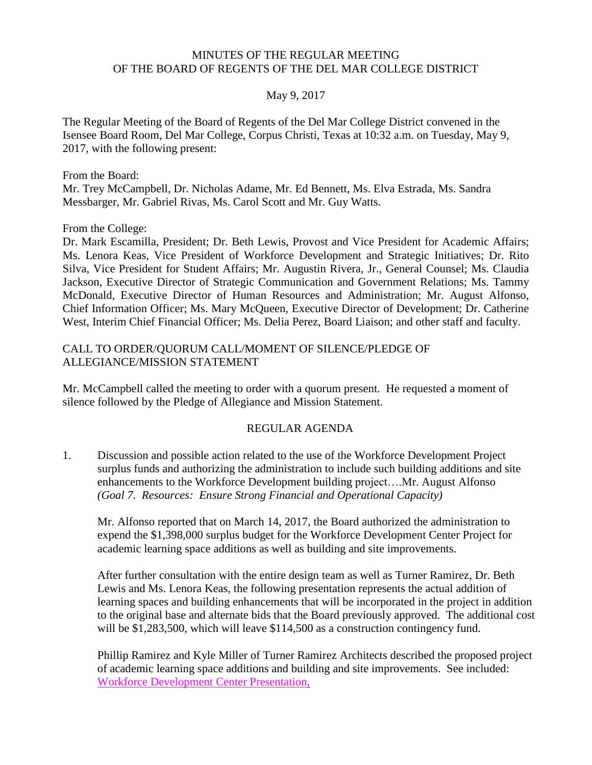#### MINUTES OF THE REGULAR MEETING OF THE BOARD OF REGENTS OF THE DEL MAR COLLEGE DISTRICT

#### May 9, 2017

The Regular Meeting of the Board of Regents of the Del Mar College District convened in the Isensee Board Room, Del Mar College, Corpus Christi, Texas at 10:32 a.m. on Tuesday, May 9, 2017, with the following present:

From the Board:

Mr. Trey McCampbell, Dr. Nicholas Adame, Mr. Ed Bennett, Ms. Elva Estrada, Ms. Sandra Messbarger, Mr. Gabriel Rivas, Ms. Carol Scott and Mr. Guy Watts.

From the College:

Dr. Mark Escamilla, President; Dr. Beth Lewis, Provost and Vice President for Academic Affairs; Ms. Lenora Keas, Vice President of Workforce Development and Strategic Initiatives; Dr. Rito Silva, Vice President for Student Affairs; Mr. Augustin Rivera, Jr., General Counsel; Ms. Claudia Jackson, Executive Director of Strategic Communication and Government Relations; Ms. Tammy McDonald, Executive Director of Human Resources and Administration; Mr. August Alfonso, Chief Information Officer; Ms. Mary McQueen, Executive Director of Development; Dr. Catherine West, Interim Chief Financial Officer; Ms. Delia Perez, Board Liaison; and other staff and faculty.

#### CALL TO ORDER/QUORUM CALL/MOMENT OF SILENCE/PLEDGE OF ALLEGIANCE/MISSION STATEMENT

Mr. McCampbell called the meeting to order with a quorum present. He requested a moment of silence followed by the Pledge of Allegiance and Mission Statement.

#### REGULAR AGENDA

1. Discussion and possible action related to the use of the Workforce Development Project surplus funds and authorizing the administration to include such building additions and site enhancements to the Workforce Development building project….Mr. August Alfonso *(Goal 7. Resources: Ensure Strong Financial and Operational Capacity)*

Mr. Alfonso reported that on March 14, 2017, the Board authorized the administration to expend the \$1,398,000 surplus budget for the Workforce Development Center Project for academic learning space additions as well as building and site improvements.

After further consultation with the entire design team as well as Turner Ramirez, Dr. Beth Lewis and Ms. Lenora Keas, the following presentation represents the actual addition of learning spaces and building enhancements that will be incorporated in the project in addition to the original base and alternate bids that the Board previously approved. The additional cost will be \$1,283,500, which will leave \$114,500 as a construction contingency fund.

Phillip Ramirez and Kyle Miller of Turner Ramirez Architects described the proposed project of academic learning space additions and building and site improvements. See included: Workforce [Development](http://www.delmar.edu/WorkArea/DownloadAsset.aspx?id=2147485686) Center Presentation.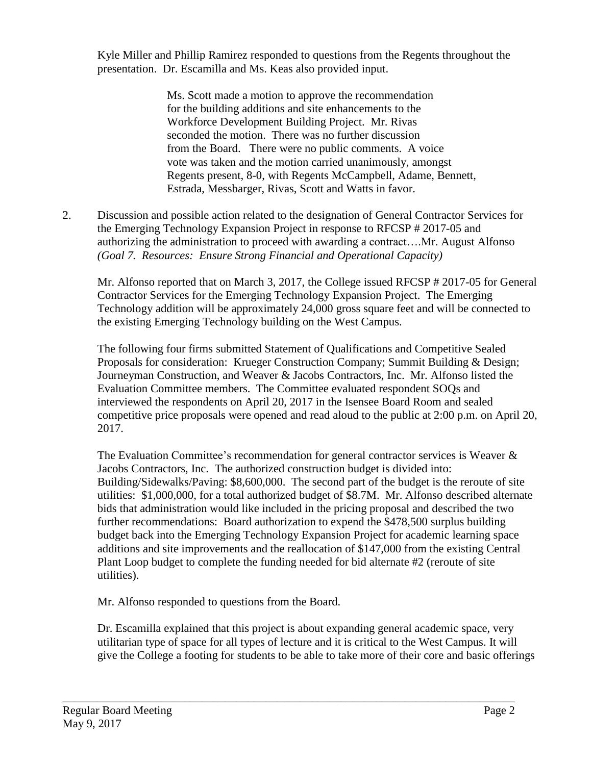Kyle Miller and Phillip Ramirez responded to questions from the Regents throughout the presentation. Dr. Escamilla and Ms. Keas also provided input.

> Ms. Scott made a motion to approve the recommendation for the building additions and site enhancements to the Workforce Development Building Project. Mr. Rivas seconded the motion. There was no further discussion from the Board. There were no public comments. A voice vote was taken and the motion carried unanimously, amongst Regents present, 8-0, with Regents McCampbell, Adame, Bennett, Estrada, Messbarger, Rivas, Scott and Watts in favor.

2. Discussion and possible action related to the designation of General Contractor Services for the Emerging Technology Expansion Project in response to RFCSP # 2017-05 and authorizing the administration to proceed with awarding a contract….Mr. August Alfonso *(Goal 7. Resources: Ensure Strong Financial and Operational Capacity)*

Mr. Alfonso reported that on March 3, 2017, the College issued RFCSP # 2017-05 for General Contractor Services for the Emerging Technology Expansion Project. The Emerging Technology addition will be approximately 24,000 gross square feet and will be connected to the existing Emerging Technology building on the West Campus.

The following four firms submitted Statement of Qualifications and Competitive Sealed Proposals for consideration: Krueger Construction Company; Summit Building & Design; Journeyman Construction, and Weaver & Jacobs Contractors, Inc. Mr. Alfonso listed the Evaluation Committee members. The Committee evaluated respondent SOQs and interviewed the respondents on April 20, 2017 in the Isensee Board Room and sealed competitive price proposals were opened and read aloud to the public at 2:00 p.m. on April 20, 2017.

The Evaluation Committee's recommendation for general contractor services is Weaver & Jacobs Contractors, Inc. The authorized construction budget is divided into: Building/Sidewalks/Paving: \$8,600,000. The second part of the budget is the reroute of site utilities: \$1,000,000, for a total authorized budget of \$8.7M. Mr. Alfonso described alternate bids that administration would like included in the pricing proposal and described the two further recommendations: Board authorization to expend the \$478,500 surplus building budget back into the Emerging Technology Expansion Project for academic learning space additions and site improvements and the reallocation of \$147,000 from the existing Central Plant Loop budget to complete the funding needed for bid alternate #2 (reroute of site utilities).

Mr. Alfonso responded to questions from the Board.

Dr. Escamilla explained that this project is about expanding general academic space, very utilitarian type of space for all types of lecture and it is critical to the West Campus. It will give the College a footing for students to be able to take more of their core and basic offerings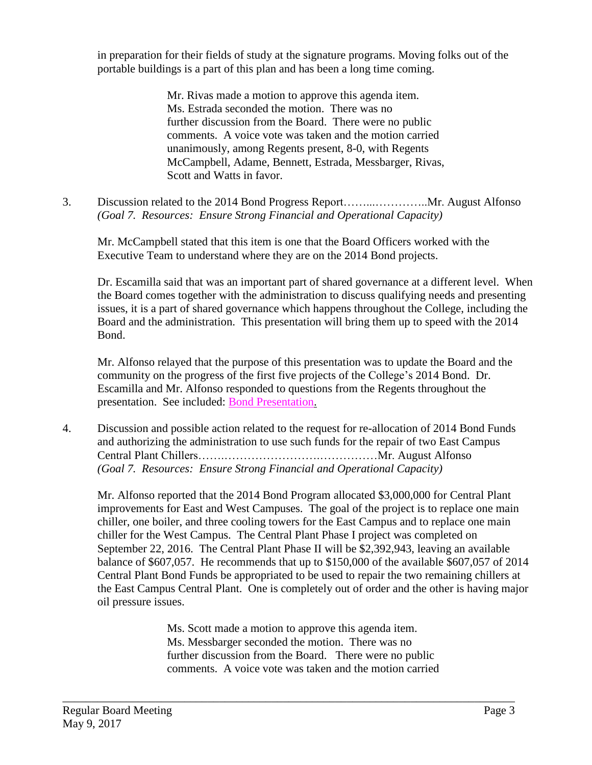in preparation for their fields of study at the signature programs. Moving folks out of the portable buildings is a part of this plan and has been a long time coming.

> Mr. Rivas made a motion to approve this agenda item. Ms. Estrada seconded the motion. There was no further discussion from the Board. There were no public comments. A voice vote was taken and the motion carried unanimously, among Regents present, 8-0, with Regents McCampbell, Adame, Bennett, Estrada, Messbarger, Rivas, Scott and Watts in favor.

3. Discussion related to the 2014 Bond Progress Report……...…………..Mr. August Alfonso *(Goal 7. Resources: Ensure Strong Financial and Operational Capacity)*

Mr. McCampbell stated that this item is one that the Board Officers worked with the Executive Team to understand where they are on the 2014 Bond projects.

Dr. Escamilla said that was an important part of shared governance at a different level. When the Board comes together with the administration to discuss qualifying needs and presenting issues, it is a part of shared governance which happens throughout the College, including the Board and the administration. This presentation will bring them up to speed with the 2014 Bond.

Mr. Alfonso relayed that the purpose of this presentation was to update the Board and the community on the progress of the first five projects of the College's 2014 Bond. Dr. Escamilla and Mr. Alfonso responded to questions from the Regents throughout the presentation. See included: Bond [Presentation.](http://www.delmar.edu/WorkArea/DownloadAsset.aspx?id=2147485689)

4. Discussion and possible action related to the request for re-allocation of 2014 Bond Funds and authorizing the administration to use such funds for the repair of two East Campus Central Plant Chillers…….…………………….……………Mr. August Alfonso *(Goal 7. Resources: Ensure Strong Financial and Operational Capacity)*

Mr. Alfonso reported that the 2014 Bond Program allocated \$3,000,000 for Central Plant improvements for East and West Campuses. The goal of the project is to replace one main chiller, one boiler, and three cooling towers for the East Campus and to replace one main chiller for the West Campus. The Central Plant Phase I project was completed on September 22, 2016. The Central Plant Phase II will be \$2,392,943, leaving an available balance of \$607,057. He recommends that up to \$150,000 of the available \$607,057 of 2014 Central Plant Bond Funds be appropriated to be used to repair the two remaining chillers at the East Campus Central Plant. One is completely out of order and the other is having major oil pressure issues.

> Ms. Scott made a motion to approve this agenda item. Ms. Messbarger seconded the motion. There was no further discussion from the Board. There were no public comments. A voice vote was taken and the motion carried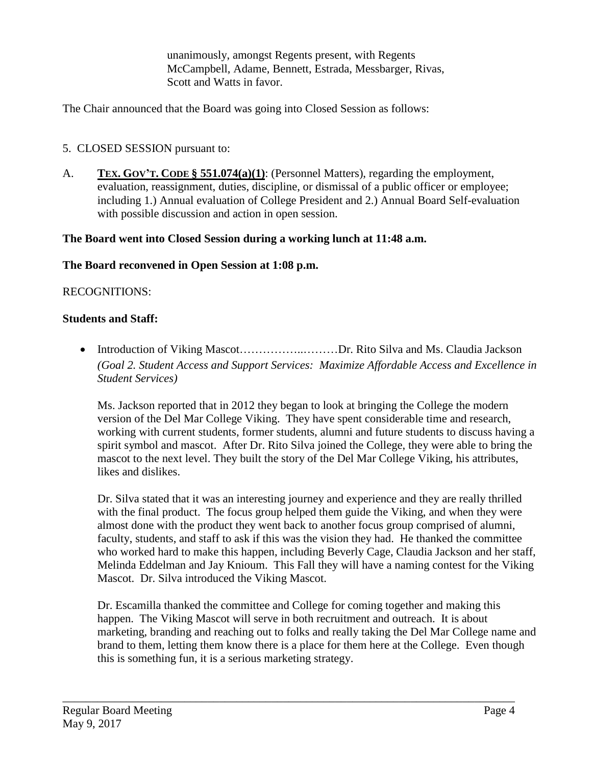unanimously, amongst Regents present, with Regents McCampbell, Adame, Bennett, Estrada, Messbarger, Rivas, Scott and Watts in favor.

The Chair announced that the Board was going into Closed Session as follows:

## 5. CLOSED SESSION pursuant to:

A. **TEX. GOV'T. CODE § 551.074(a)(1)**: (Personnel Matters), regarding the employment, evaluation, reassignment, duties, discipline, or dismissal of a public officer or employee; including 1.) Annual evaluation of College President and 2.) Annual Board Self-evaluation with possible discussion and action in open session.

### **The Board went into Closed Session during a working lunch at 11:48 a.m.**

### **The Board reconvened in Open Session at 1:08 p.m.**

### RECOGNITIONS:

#### **Students and Staff:**

• Introduction of Viking Mascot……….....................Dr. Rito Silva and Ms. Claudia Jackson *(Goal 2. Student Access and Support Services: Maximize Affordable Access and Excellence in Student Services)*

Ms. Jackson reported that in 2012 they began to look at bringing the College the modern version of the Del Mar College Viking. They have spent considerable time and research, working with current students, former students, alumni and future students to discuss having a spirit symbol and mascot. After Dr. Rito Silva joined the College, they were able to bring the mascot to the next level. They built the story of the Del Mar College Viking, his attributes, likes and dislikes.

Dr. Silva stated that it was an interesting journey and experience and they are really thrilled with the final product. The focus group helped them guide the Viking, and when they were almost done with the product they went back to another focus group comprised of alumni, faculty, students, and staff to ask if this was the vision they had. He thanked the committee who worked hard to make this happen, including Beverly Cage, Claudia Jackson and her staff, Melinda Eddelman and Jay Knioum. This Fall they will have a naming contest for the Viking Mascot. Dr. Silva introduced the Viking Mascot.

Dr. Escamilla thanked the committee and College for coming together and making this happen. The Viking Mascot will serve in both recruitment and outreach. It is about marketing, branding and reaching out to folks and really taking the Del Mar College name and brand to them, letting them know there is a place for them here at the College. Even though this is something fun, it is a serious marketing strategy.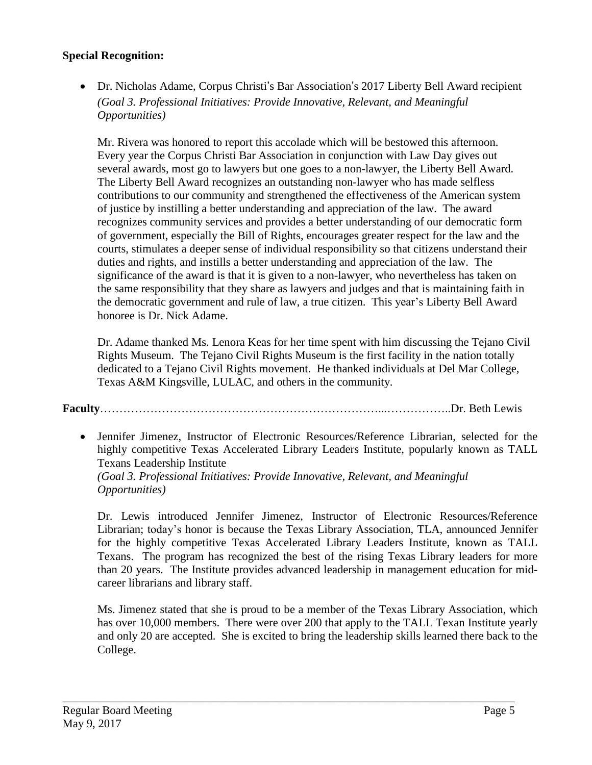### **Special Recognition:**

 Dr. Nicholas Adame, Corpus Christi's Bar Association's 2017 Liberty Bell Award recipient *(Goal 3. Professional Initiatives: Provide Innovative, Relevant, and Meaningful Opportunities)*

Mr. Rivera was honored to report this accolade which will be bestowed this afternoon. Every year the Corpus Christi Bar Association in conjunction with Law Day gives out several awards, most go to lawyers but one goes to a non-lawyer, the Liberty Bell Award. The Liberty Bell Award recognizes an outstanding non-lawyer who has made selfless contributions to our community and strengthened the effectiveness of the American system of justice by instilling a better understanding and appreciation of the law. The award recognizes community services and provides a better understanding of our democratic form of government, especially the Bill of Rights, encourages greater respect for the law and the courts, stimulates a deeper sense of individual responsibility so that citizens understand their duties and rights, and instills a better understanding and appreciation of the law. The significance of the award is that it is given to a non-lawyer, who nevertheless has taken on the same responsibility that they share as lawyers and judges and that is maintaining faith in the democratic government and rule of law, a true citizen. This year's Liberty Bell Award honoree is Dr. Nick Adame.

Dr. Adame thanked Ms. Lenora Keas for her time spent with him discussing the Tejano Civil Rights Museum. The Tejano Civil Rights Museum is the first facility in the nation totally dedicated to a Tejano Civil Rights movement. He thanked individuals at Del Mar College, Texas A&M Kingsville, LULAC, and others in the community.

**Faculty**………………………………………………………………...……………..Dr. Beth Lewis

 Jennifer Jimenez, Instructor of Electronic Resources/Reference Librarian, selected for the highly competitive Texas Accelerated Library Leaders Institute, popularly known as TALL Texans Leadership Institute *(Goal 3. Professional Initiatives: Provide Innovative, Relevant, and Meaningful Opportunities)*

Dr. Lewis introduced Jennifer Jimenez, Instructor of Electronic Resources/Reference Librarian; today's honor is because the Texas Library Association, TLA, announced Jennifer for the highly competitive Texas Accelerated Library Leaders Institute, known as TALL Texans. The program has recognized the best of the rising Texas Library leaders for more than 20 years. The Institute provides advanced leadership in management education for midcareer librarians and library staff.

Ms. Jimenez stated that she is proud to be a member of the Texas Library Association, which has over 10,000 members. There were over 200 that apply to the TALL Texan Institute yearly and only 20 are accepted. She is excited to bring the leadership skills learned there back to the College.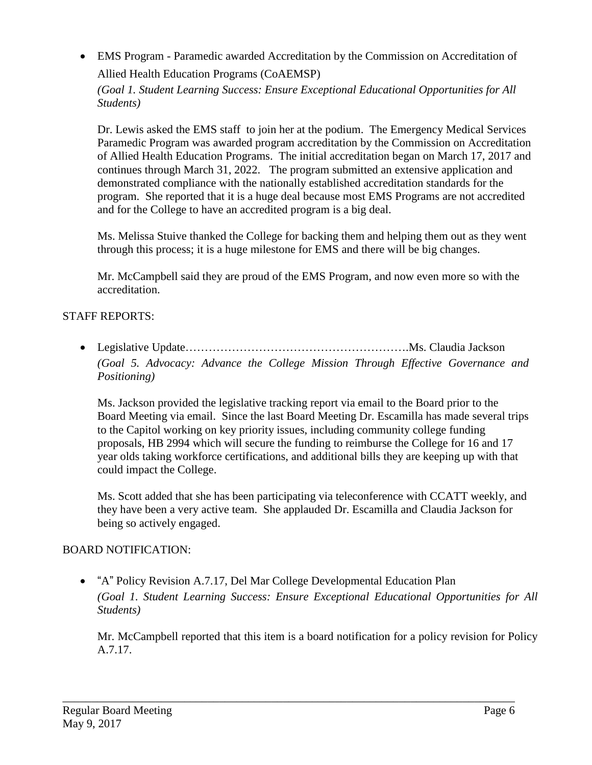EMS Program - Paramedic awarded Accreditation by the Commission on Accreditation of Allied Health Education Programs (CoAEMSP)

*(Goal 1. Student Learning Success: Ensure Exceptional Educational Opportunities for All Students)*

Dr. Lewis asked the EMS staff to join her at the podium. The Emergency Medical Services Paramedic Program was awarded program accreditation by the Commission on Accreditation of Allied Health Education Programs. The initial accreditation began on March 17, 2017 and continues through March 31, 2022. The program submitted an extensive application and demonstrated compliance with the nationally established accreditation standards for the program. She reported that it is a huge deal because most EMS Programs are not accredited and for the College to have an accredited program is a big deal.

Ms. Melissa Stuive thanked the College for backing them and helping them out as they went through this process; it is a huge milestone for EMS and there will be big changes.

Mr. McCampbell said they are proud of the EMS Program, and now even more so with the accreditation.

# STAFF REPORTS:

 Legislative Update………………………………………………….Ms. Claudia Jackson *(Goal 5. Advocacy: Advance the College Mission Through Effective Governance and Positioning)*

Ms. Jackson provided the legislative tracking report via email to the Board prior to the Board Meeting via email. Since the last Board Meeting Dr. Escamilla has made several trips to the Capitol working on key priority issues, including community college funding proposals, HB 2994 which will secure the funding to reimburse the College for 16 and 17 year olds taking workforce certifications, and additional bills they are keeping up with that could impact the College.

Ms. Scott added that she has been participating via teleconference with CCATT weekly, and they have been a very active team. She applauded Dr. Escamilla and Claudia Jackson for being so actively engaged.

## BOARD NOTIFICATION:

 "A" Policy Revision A.7.17, Del Mar College Developmental Education Plan *(Goal 1. Student Learning Success: Ensure Exceptional Educational Opportunities for All Students)*

Mr. McCampbell reported that this item is a board notification for a policy revision for Policy A.7.17.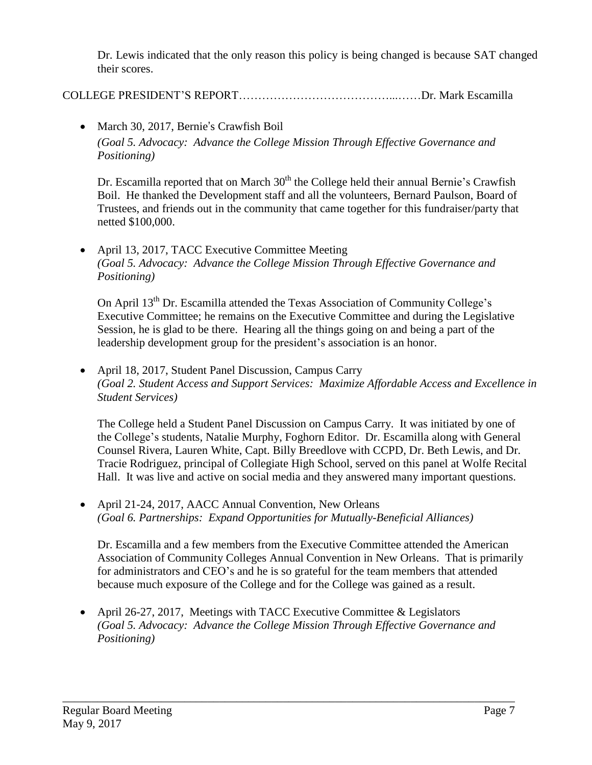Dr. Lewis indicated that the only reason this policy is being changed is because SAT changed their scores.

COLLEGE PRESIDENT'S REPORT…………………………………...……Dr. Mark Escamilla

# • March 30, 2017, Bernie's Crawfish Boil

*(Goal 5. Advocacy: Advance the College Mission Through Effective Governance and Positioning)*

Dr. Escamilla reported that on March  $30<sup>th</sup>$  the College held their annual Bernie's Crawfish Boil. He thanked the Development staff and all the volunteers, Bernard Paulson, Board of Trustees, and friends out in the community that came together for this fundraiser/party that netted \$100,000.

• April 13, 2017, TACC Executive Committee Meeting *(Goal 5. Advocacy: Advance the College Mission Through Effective Governance and Positioning)*

On April 13<sup>th</sup> Dr. Escamilla attended the Texas Association of Community College's Executive Committee; he remains on the Executive Committee and during the Legislative Session, he is glad to be there. Hearing all the things going on and being a part of the leadership development group for the president's association is an honor.

• April 18, 2017, Student Panel Discussion, Campus Carry *(Goal 2. Student Access and Support Services: Maximize Affordable Access and Excellence in Student Services)*

The College held a Student Panel Discussion on Campus Carry. It was initiated by one of the College's students, Natalie Murphy, Foghorn Editor. Dr. Escamilla along with General Counsel Rivera, Lauren White, Capt. Billy Breedlove with CCPD, Dr. Beth Lewis, and Dr. Tracie Rodriguez, principal of Collegiate High School, served on this panel at Wolfe Recital Hall. It was live and active on social media and they answered many important questions.

• April 21-24, 2017, AACC Annual Convention, New Orleans *(Goal 6. Partnerships: Expand Opportunities for Mutually-Beneficial Alliances)*

Dr. Escamilla and a few members from the Executive Committee attended the American Association of Community Colleges Annual Convention in New Orleans. That is primarily for administrators and CEO's and he is so grateful for the team members that attended because much exposure of the College and for the College was gained as a result.

• April 26-27, 2017, Meetings with TACC Executive Committee & Legislators *(Goal 5. Advocacy: Advance the College Mission Through Effective Governance and Positioning)*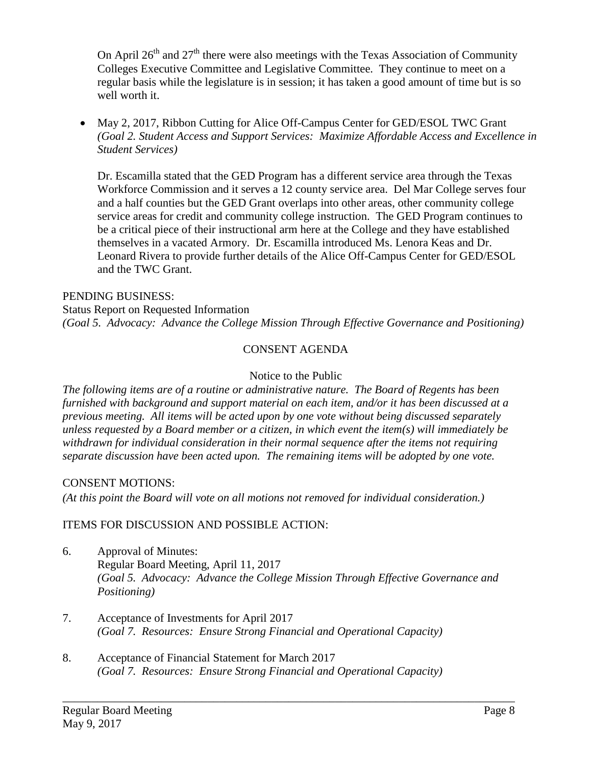On April  $26<sup>th</sup>$  and  $27<sup>th</sup>$  there were also meetings with the Texas Association of Community Colleges Executive Committee and Legislative Committee. They continue to meet on a regular basis while the legislature is in session; it has taken a good amount of time but is so well worth it.

 May 2, 2017, Ribbon Cutting for Alice Off-Campus Center for GED/ESOL TWC Grant *(Goal 2. Student Access and Support Services: Maximize Affordable Access and Excellence in Student Services)*

Dr. Escamilla stated that the GED Program has a different service area through the Texas Workforce Commission and it serves a 12 county service area. Del Mar College serves four and a half counties but the GED Grant overlaps into other areas, other community college service areas for credit and community college instruction. The GED Program continues to be a critical piece of their instructional arm here at the College and they have established themselves in a vacated Armory. Dr. Escamilla introduced Ms. Lenora Keas and Dr. Leonard Rivera to provide further details of the Alice Off-Campus Center for GED/ESOL and the TWC Grant.

### PENDING BUSINESS:

Status Report on Requested Information *(Goal 5. Advocacy: Advance the College Mission Through Effective Governance and Positioning)*

## CONSENT AGENDA

### Notice to the Public

*The following items are of a routine or administrative nature. The Board of Regents has been furnished with background and support material on each item, and/or it has been discussed at a previous meeting. All items will be acted upon by one vote without being discussed separately unless requested by a Board member or a citizen, in which event the item(s) will immediately be withdrawn for individual consideration in their normal sequence after the items not requiring separate discussion have been acted upon. The remaining items will be adopted by one vote.*

### CONSENT MOTIONS:

*(At this point the Board will vote on all motions not removed for individual consideration.)*

## ITEMS FOR DISCUSSION AND POSSIBLE ACTION:

6. Approval of Minutes: Regular Board Meeting, April 11, 2017 *(Goal 5. Advocacy: Advance the College Mission Through Effective Governance and Positioning)*

- 7. Acceptance of Investments for April 2017 *(Goal 7. Resources: Ensure Strong Financial and Operational Capacity)*
- 8. Acceptance of Financial Statement for March 2017 *(Goal 7. Resources: Ensure Strong Financial and Operational Capacity)*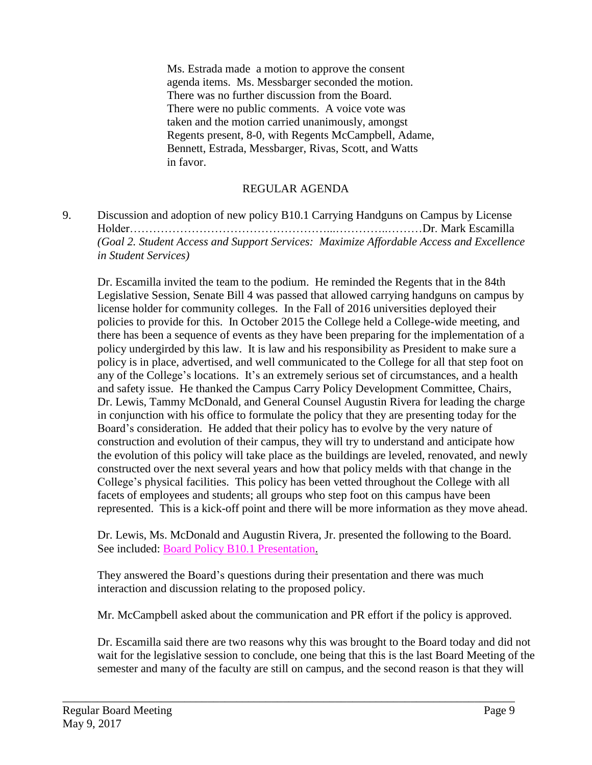Ms. Estrada made a motion to approve the consent agenda items. Ms. Messbarger seconded the motion. There was no further discussion from the Board. There were no public comments. A voice vote was taken and the motion carried unanimously, amongst Regents present, 8-0, with Regents McCampbell, Adame, Bennett, Estrada, Messbarger, Rivas, Scott, and Watts in favor.

# REGULAR AGENDA

9. Discussion and adoption of new policy B10.1 Carrying Handguns on Campus by License Holder……………………………………………...…………..………Dr. Mark Escamilla *(Goal 2. Student Access and Support Services: Maximize Affordable Access and Excellence in Student Services)*

Dr. Escamilla invited the team to the podium. He reminded the Regents that in the 84th Legislative Session, Senate Bill 4 was passed that allowed carrying handguns on campus by license holder for community colleges. In the Fall of 2016 universities deployed their policies to provide for this. In October 2015 the College held a College-wide meeting, and there has been a sequence of events as they have been preparing for the implementation of a policy undergirded by this law. It is law and his responsibility as President to make sure a policy is in place, advertised, and well communicated to the College for all that step foot on any of the College's locations. It's an extremely serious set of circumstances, and a health and safety issue. He thanked the Campus Carry Policy Development Committee, Chairs, Dr. Lewis, Tammy McDonald, and General Counsel Augustin Rivera for leading the charge in conjunction with his office to formulate the policy that they are presenting today for the Board's consideration. He added that their policy has to evolve by the very nature of construction and evolution of their campus, they will try to understand and anticipate how the evolution of this policy will take place as the buildings are leveled, renovated, and newly constructed over the next several years and how that policy melds with that change in the College's physical facilities. This policy has been vetted throughout the College with all facets of employees and students; all groups who step foot on this campus have been represented. This is a kick-off point and there will be more information as they move ahead.

Dr. Lewis, Ms. McDonald and Augustin Rivera, Jr. presented the following to the Board. See included: Board Policy B10.1 [Presentation.](http://www.delmar.edu/WorkArea/DownloadAsset.aspx?id=2147485688)

They answered the Board's questions during their presentation and there was much interaction and discussion relating to the proposed policy.

\_\_\_\_\_\_\_\_\_\_\_\_\_\_\_\_\_\_\_\_\_\_\_\_\_\_\_\_\_\_\_\_\_\_\_\_\_\_\_\_\_\_\_\_\_\_\_\_\_\_\_\_\_\_\_\_\_\_\_\_\_\_\_\_\_\_\_\_\_\_\_\_\_\_\_\_\_\_

Mr. McCampbell asked about the communication and PR effort if the policy is approved.

Dr. Escamilla said there are two reasons why this was brought to the Board today and did not wait for the legislative session to conclude, one being that this is the last Board Meeting of the semester and many of the faculty are still on campus, and the second reason is that they will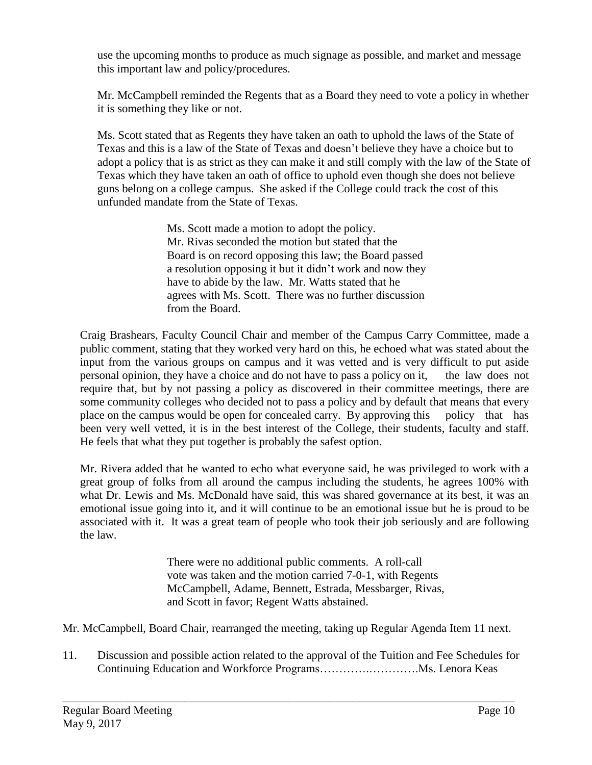use the upcoming months to produce as much signage as possible, and market and message this important law and policy/procedures.

Mr. McCampbell reminded the Regents that as a Board they need to vote a policy in whether it is something they like or not.

Ms. Scott stated that as Regents they have taken an oath to uphold the laws of the State of Texas and this is a law of the State of Texas and doesn't believe they have a choice but to adopt a policy that is as strict as they can make it and still comply with the law of the State of Texas which they have taken an oath of office to uphold even though she does not believe guns belong on a college campus. She asked if the College could track the cost of this unfunded mandate from the State of Texas.

> Ms. Scott made a motion to adopt the policy. Mr. Rivas seconded the motion but stated that the Board is on record opposing this law; the Board passed a resolution opposing it but it didn't work and now they have to abide by the law. Mr. Watts stated that he agrees with Ms. Scott. There was no further discussion from the Board.

Craig Brashears, Faculty Council Chair and member of the Campus Carry Committee, made a public comment, stating that they worked very hard on this, he echoed what was stated about the input from the various groups on campus and it was vetted and is very difficult to put aside personal opinion, they have a choice and do not have to pass a policy on it, the law does not require that, but by not passing a policy as discovered in their committee meetings, there are some community colleges who decided not to pass a policy and by default that means that every place on the campus would be open for concealed carry. By approving this policy that has been very well vetted, it is in the best interest of the College, their students, faculty and staff. He feels that what they put together is probably the safest option.

Mr. Rivera added that he wanted to echo what everyone said, he was privileged to work with a great group of folks from all around the campus including the students, he agrees 100% with what Dr. Lewis and Ms. McDonald have said, this was shared governance at its best, it was an emotional issue going into it, and it will continue to be an emotional issue but he is proud to be associated with it. It was a great team of people who took their job seriously and are following the law.

> There were no additional public comments. A roll-call vote was taken and the motion carried 7-0-1, with Regents McCampbell, Adame, Bennett, Estrada, Messbarger, Rivas, and Scott in favor; Regent Watts abstained.

Mr. McCampbell, Board Chair, rearranged the meeting, taking up Regular Agenda Item 11 next.

11. Discussion and possible action related to the approval of the Tuition and Fee Schedules for Continuing Education and Workforce Programs………….………….Ms. Lenora Keas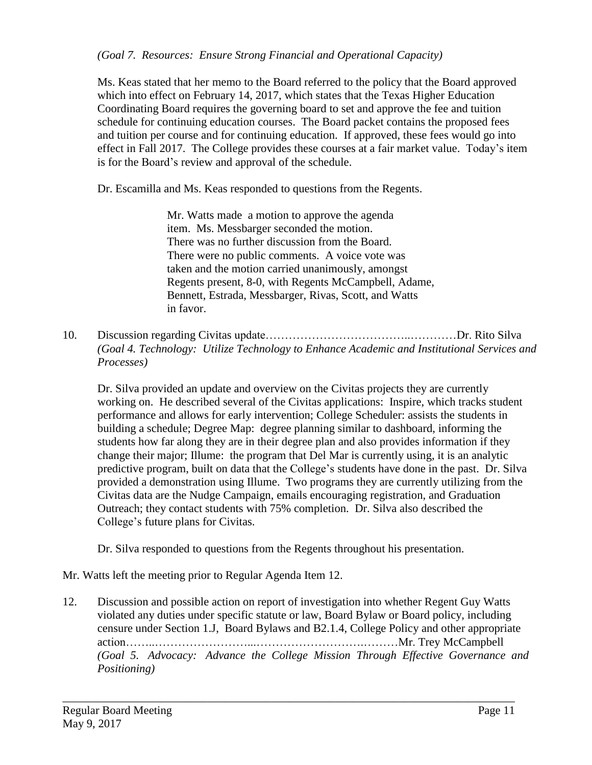Ms. Keas stated that her memo to the Board referred to the policy that the Board approved which into effect on February 14, 2017, which states that the Texas Higher Education Coordinating Board requires the governing board to set and approve the fee and tuition schedule for continuing education courses. The Board packet contains the proposed fees and tuition per course and for continuing education. If approved, these fees would go into effect in Fall 2017. The College provides these courses at a fair market value. Today's item is for the Board's review and approval of the schedule.

Dr. Escamilla and Ms. Keas responded to questions from the Regents.

Mr. Watts made a motion to approve the agenda item. Ms. Messbarger seconded the motion. There was no further discussion from the Board. There were no public comments. A voice vote was taken and the motion carried unanimously, amongst Regents present, 8-0, with Regents McCampbell, Adame, Bennett, Estrada, Messbarger, Rivas, Scott, and Watts in favor.

10. Discussion regarding Civitas update………………………………..…………Dr. Rito Silva *(Goal 4. Technology: Utilize Technology to Enhance Academic and Institutional Services and Processes)*

Dr. Silva provided an update and overview on the Civitas projects they are currently working on. He described several of the Civitas applications: Inspire, which tracks student performance and allows for early intervention; College Scheduler: assists the students in building a schedule; Degree Map: degree planning similar to dashboard, informing the students how far along they are in their degree plan and also provides information if they change their major; Illume: the program that Del Mar is currently using, it is an analytic predictive program, built on data that the College's students have done in the past. Dr. Silva provided a demonstration using Illume. Two programs they are currently utilizing from the Civitas data are the Nudge Campaign, emails encouraging registration, and Graduation Outreach; they contact students with 75% completion. Dr. Silva also described the College's future plans for Civitas.

Dr. Silva responded to questions from the Regents throughout his presentation.

Mr. Watts left the meeting prior to Regular Agenda Item 12.

12. Discussion and possible action on report of investigation into whether Regent Guy Watts violated any duties under specific statute or law, Board Bylaw or Board policy, including censure under Section 1.J, Board Bylaws and B2.1.4, College Policy and other appropriate action……..……………………...……………………….………Mr. Trey McCampbell *(Goal 5. Advocacy: Advance the College Mission Through Effective Governance and Positioning)*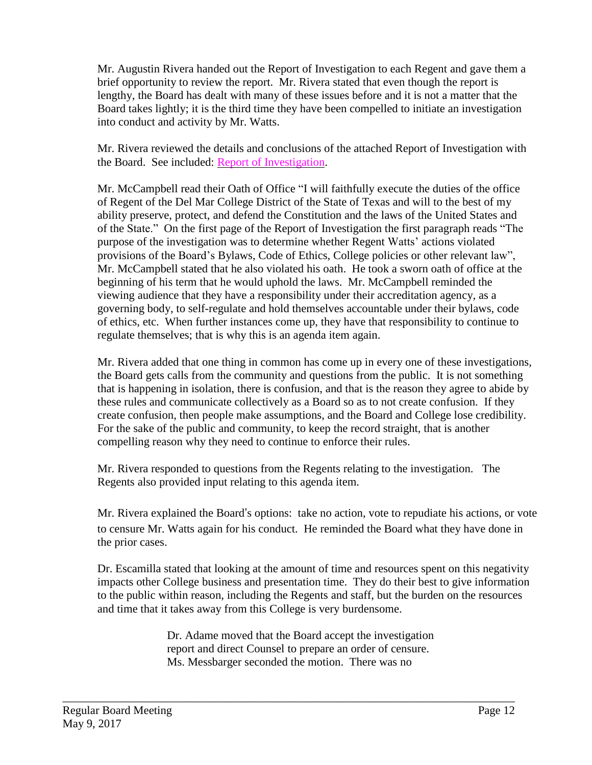Mr. Augustin Rivera handed out the Report of Investigation to each Regent and gave them a brief opportunity to review the report. Mr. Rivera stated that even though the report is lengthy, the Board has dealt with many of these issues before and it is not a matter that the Board takes lightly; it is the third time they have been compelled to initiate an investigation into conduct and activity by Mr. Watts.

Mr. Rivera reviewed the details and conclusions of the attached Report of Investigation with the Board. See included: Report of [Investigation.](http://www.delmar.edu/WorkArea/DownloadAsset.aspx?id=2147485687)

Mr. McCampbell read their Oath of Office "I will faithfully execute the duties of the office of Regent of the Del Mar College District of the State of Texas and will to the best of my ability preserve, protect, and defend the Constitution and the laws of the United States and of the State." On the first page of the Report of Investigation the first paragraph reads "The purpose of the investigation was to determine whether Regent Watts' actions violated provisions of the Board's Bylaws, Code of Ethics, College policies or other relevant law", Mr. McCampbell stated that he also violated his oath. He took a sworn oath of office at the beginning of his term that he would uphold the laws. Mr. McCampbell reminded the viewing audience that they have a responsibility under their accreditation agency, as a governing body, to self-regulate and hold themselves accountable under their bylaws, code of ethics, etc. When further instances come up, they have that responsibility to continue to regulate themselves; that is why this is an agenda item again.

Mr. Rivera added that one thing in common has come up in every one of these investigations, the Board gets calls from the community and questions from the public. It is not something that is happening in isolation, there is confusion, and that is the reason they agree to abide by these rules and communicate collectively as a Board so as to not create confusion. If they create confusion, then people make assumptions, and the Board and College lose credibility. For the sake of the public and community, to keep the record straight, that is another compelling reason why they need to continue to enforce their rules.

Mr. Rivera responded to questions from the Regents relating to the investigation. The Regents also provided input relating to this agenda item.

Mr. Rivera explained the Board's options: take no action, vote to repudiate his actions, or vote to censure Mr. Watts again for his conduct. He reminded the Board what they have done in the prior cases.

Dr. Escamilla stated that looking at the amount of time and resources spent on this negativity impacts other College business and presentation time. They do their best to give information to the public within reason, including the Regents and staff, but the burden on the resources and time that it takes away from this College is very burdensome.

> Dr. Adame moved that the Board accept the investigation report and direct Counsel to prepare an order of censure. Ms. Messbarger seconded the motion. There was no